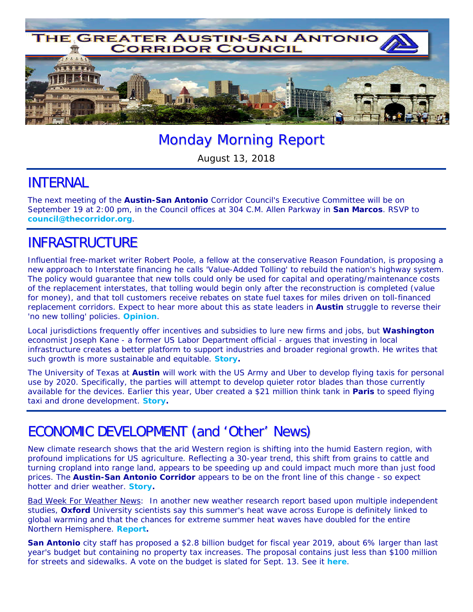

# Monday Morning Report

August 13, 2018

#### INTERNAL

The next meeting of the **Austin-San Antonio** Corridor Council's Executive Committee will be on September 19 at 2:00 pm, in the Council offices at 304 C.M. Allen Parkway in **San Marcos**. RSVP to **council@thecorridor.org**.

## INFRASTRUCTURE

Influential free-market writer Robert Poole, a fellow at the conservative Reason Foundation, is proposing a new approach to Interstate financing he calls *'Value-Added Tolling'* to rebuild the nation's highway system. The policy would guarantee that new tolls could only be used for capital and operating/maintenance costs of the replacement interstates, that tolling would begin only after the reconstruction is completed (value for money), and that toll customers receive rebates on state fuel taxes for miles driven on toll-financed replacement corridors. Expect to hear more about this as state leaders in **Austin** struggle to reverse their 'no new tolling' policies. *Opinion.*

Local jurisdictions frequently offer incentives and subsidies to lure new firms and jobs, but **Washington** economist Joseph Kane - a former US Labor Department official - argues that investing in local infrastructure creates a better platform to support industries and broader regional growth. He writes that such growth is more sustainable and equitable. *Story.*

The University of Texas at **Austin** will work with the US Army and Uber to develop flying taxis for personal use by 2020. Specifically, the parties will attempt to develop quieter rotor blades than those currently available for the devices. Earlier this year, Uber created a \$21 million think tank in **Paris** to speed flying taxi and drone development. *Story.* 

### ECONOMIC DEVELOPMENT (and 'Other' News)

New climate research shows that the arid Western region is shifting into the humid Eastern region, with profound implications for US agriculture. Reflecting a 30-year trend, this shift from grains to cattle and turning cropland into range land, appears to be speeding up and could impact much more than just food prices. The **Austin-San Antonio Corridor** appears to be on the front line of this change - so expect hotter and drier weather. *Story.* 

Bad Week For Weather News: In another new weather research report based upon multiple independent studies, **Oxford** University scientists say this summer's heat wave across Europe is definitely linked to global warming and that the chances for extreme summer heat waves have doubled for the entire Northern Hemisphere. *Report***.**

**San Antonio** city staff has proposed a \$2.8 billion budget for fiscal year 2019, about 6% larger than last year's budget but containing no property tax increases. The proposal contains just less than \$100 million for streets and sidewalks. A vote on the budget is slated for Sept. 13. See it *here*.